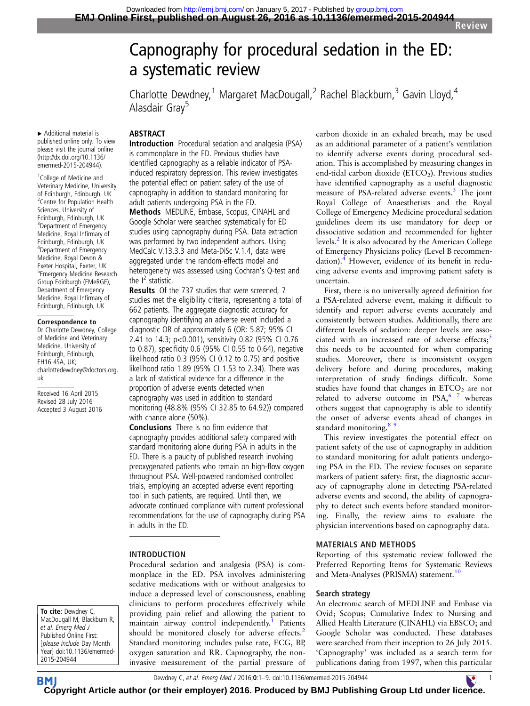# Capnography for procedural sedation in the ED: a systematic review

Charlotte Dewdney,<sup>1</sup> Margaret MacDougall,<sup>2</sup> Rachel Blackburn,<sup>3</sup> Gavin Lloyd,<sup>4</sup> Alasdair Gray<sup>5</sup>

# ABSTRACT

▸ Additional material is published online only. To view please visit the journal online [\(http://dx.doi.org/10.1136/](http://dx.doi.org/10.1136/emermed-2015-204944) [emermed-2015-204944](http://dx.doi.org/10.1136/emermed-2015-204944)).

<sup>1</sup> College of Medicine and Veterinary Medicine, University of Edinburgh, Edinburgh, UK <sup>2</sup> Centre for Population Health Sciences, University of Edinburgh, Edinburgh, UK <sup>3</sup>Department of Emergency Medicine, Royal Infirmary of Edinburgh, Edinburgh, UK 4 Department of Emergency Medicine, Royal Devon & Exeter Hospital, Exeter, UK 5 Emergency Medicine Research Group Edinburgh (EMeRGE), Department of Emergency Medicine, Royal Infirmary of Edinburgh, Edinburgh, UK

#### Correspondence to

Dr Charlotte Dewdney, College of Medicine and Veterinary Medicine, University of Edinburgh, Edinburgh, EH16 4SA, UK; charlottedewdney@doctors.org. uk

Received 16 April 2015 Revised 28 July 2016 Accepted 3 August 2016

To cite: Dewdney C, MacDougall M, Blackburn R, et al. Emerg Med J Published Online First: [please include Day Month Year] doi:10.1136/emermed-2015-204944

**BM** 

Introduction Procedural sedation and analgesia (PSA) is commonplace in the ED. Previous studies have identified capnography as a reliable indicator of PSAinduced respiratory depression. This review investigates the potential effect on patient safety of the use of capnography in addition to standard monitoring for adult patients undergoing PSA in the ED.

Methods MEDLINE, Embase, Scopus, CINAHL and Google Scholar were searched systematically for ED studies using capnography during PSA. Data extraction was performed by two independent authors. Using MedCalc V.13.3.3 and Meta-DiSc V.1.4, data were aggregated under the random-effects model and heterogeneity was assessed using Cochran's Q-test and the  $I^2$  statistic.

Results Of the 737 studies that were screened, 7 studies met the eligibility criteria, representing a total of 662 patients. The aggregate diagnostic accuracy for capnography identifying an adverse event included a diagnostic OR of approximately 6 (OR: 5.87; 95% CI 2.41 to 14.3; p<0.001), sensitivity 0.82 (95% CI 0.76 to 0.87), specificity 0.6 (95% CI 0.55 to 0.64), negative likelihood ratio 0.3 (95% CI 0.12 to 0.75) and positive likelihood ratio 1.89 (95% CI 1.53 to 2.34). There was a lack of statistical evidence for a difference in the proportion of adverse events detected when capnography was used in addition to standard monitoring (48.8% (95% CI 32.85 to 64.92)) compared with chance alone (50%).

Conclusions There is no firm evidence that capnography provides additional safety compared with standard monitoring alone during PSA in adults in the ED. There is a paucity of published research involving preoxygenated patients who remain on high-flow oxygen throughout PSA. Well-powered randomised controlled trials, employing an accepted adverse event reporting tool in such patients, are required. Until then, we advocate continued compliance with current professional recommendations for the use of capnography during PSA in adults in the ED.

# INTRODUCTION

Procedural sedation and analgesia (PSA) is commonplace in the ED. PSA involves administering sedative medications with or without analgesics to induce a depressed level of consciousness, enabling clinicians to perform procedures effectively while providing pain relief and allowing the patient to maintain airway control independently.<sup>[1](#page-7-0)</sup> Patients should be monitored closely for adverse effects.<sup>[2](#page-7-0)</sup> Standard monitoring includes pulse rate, ECG, BP, oxygen saturation and RR. Capnography, the noninvasive measurement of the partial pressure of carbon dioxide in an exhaled breath, may be used as an additional parameter of a patient's ventilation to identify adverse events during procedural sedation. This is accomplished by measuring changes in end-tidal carbon dioxide ( $ETCO<sub>2</sub>$ ). Previous studies have identified capnography as a useful diagnostic measure of PSA-related adverse events.<sup>[3](#page-7-0)</sup> The joint Royal College of Anaesthetists and the Royal College of Emergency Medicine procedural sedation guidelines deem its use mandatory for deep or dissociative sedation and recommended for lighter levels[.2](#page-7-0) It is also advocated by the American College of Emergency Physicians policy (Level B recommen-dation).<sup>[4](#page-7-0)</sup> However, evidence of its benefit in reducing adverse events and improving patient safety is uncertain.

First, there is no universally agreed definition for a PSA-related adverse event, making it difficult to identify and report adverse events accurately and consistently between studies. Additionally, there are different levels of sedation: deeper levels are asso-ciated with an increased rate of adverse effects;<sup>[5](#page-7-0)</sup> this needs to be accounted for when comparing studies. Moreover, there is inconsistent oxygen delivery before and during procedures, making interpretation of study findings difficult. Some studies have found that changes in  $ETCO<sub>2</sub>$  are not related to adverse outcome in PSA, $67$  whereas others suggest that capnography is able to identify the onset of adverse events ahead of changes in standard monitoring.<sup>89</sup>

This review investigates the potential effect on patient safety of the use of capnography in addition to standard monitoring for adult patients undergoing PSA in the ED. The review focuses on separate markers of patient safety: first, the diagnostic accuracy of capnography alone in detecting PSA-related adverse events and second, the ability of capnography to detect such events before standard monitoring. Finally, the review aims to evaluate the physician interventions based on capnography data.

# MATERIALS AND METHODS

Reporting of this systematic review followed the Preferred Reporting Items for Systematic Reviews and Meta-Analyses (PRISMA) statement.<sup>[10](#page-7-0)</sup>

# Search strategy

An electronic search of MEDLINE and Embase via Ovid; Scopus; Cumulative Index to Nursing and Allied Health Literature (CINAHL) via EBSCO; and Google Scholar was conducted. These databases were searched from their inception to 26 July 2015. 'Capnography' was included as a search term for publications dating from 1997, when this particular

Dewdney C, et al. Emerg Med J 2016;0:1–9. doi:10.1136/emermed-2015-204944 1

**[Cop](http://emj.bmj.com)yright Article author (or their employer) 2016. Produced by BMJ Publishing Group Ltd under lic[enc](http://www.collemergencymed.ac.uk/)e.**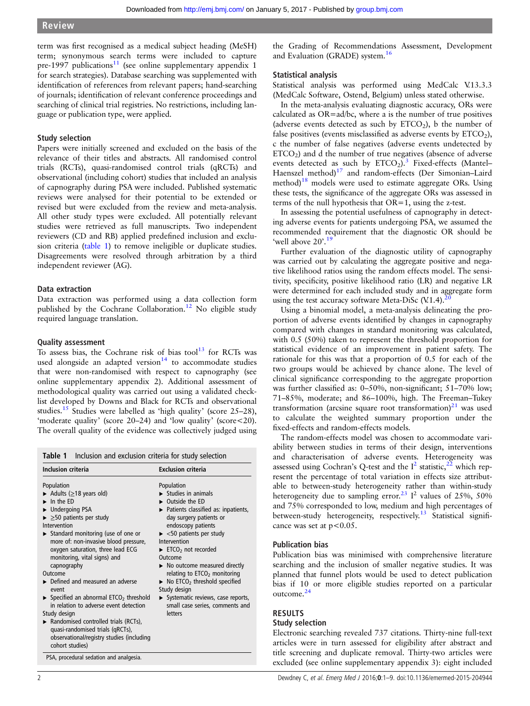term was first recognised as a medical subject heading (MeSH) term; synonymous search terms were included to capture pre-1997 publications<sup>[11](#page-7-0)</sup> (see online supplementary appendix 1 for search strategies). Database searching was supplemented with identification of references from relevant papers; hand-searching of journals; identification of relevant conference proceedings and searching of clinical trial registries. No restrictions, including language or publication type, were applied.

#### Study selection

Papers were initially screened and excluded on the basis of the relevance of their titles and abstracts. All randomised control trials (RCTs), quasi-randomised control trials (qRCTs) and observational (including cohort) studies that included an analysis of capnography during PSA were included. Published systematic reviews were analysed for their potential to be extended or revised but were excluded from the review and meta-analysis. All other study types were excluded. All potentially relevant studies were retrieved as full manuscripts. Two independent reviewers (CD and RB) applied predefined inclusion and exclusion criteria (table 1) to remove ineligible or duplicate studies. Disagreements were resolved through arbitration by a third independent reviewer (AG).

#### Data extraction

Data extraction was performed using a data collection form published by the Cochrane Collaboration.<sup>[12](#page-7-0)</sup> No eligible study required language translation.

#### Quality assessment

To assess bias, the Cochrane risk of bias tool $13$  for RCTs was used alongside an adapted version $14$  to accommodate studies that were non-randomised with respect to capnography (see online supplementary appendix 2). Additional assessment of methodological quality was carried out using a validated checklist developed by Downs and Black for RCTs and observational studies.<sup>[15](#page-7-0)</sup> Studies were labelled as 'high quality' (score  $25-28$ ), 'moderate quality' (score 20–24) and 'low quality' (score<20). The overall quality of the evidence was collectively judged using

| <b>Table 1</b> Inclusion and exclusion criteria for study selection                                                                                                                                                                                                                                                                                                                                                                                                                                                                                                                                                                                                                                              |                                                                                                                                                                                                                                                                                                                                                                                                                                                                                                                                                                                |  |  |
|------------------------------------------------------------------------------------------------------------------------------------------------------------------------------------------------------------------------------------------------------------------------------------------------------------------------------------------------------------------------------------------------------------------------------------------------------------------------------------------------------------------------------------------------------------------------------------------------------------------------------------------------------------------------------------------------------------------|--------------------------------------------------------------------------------------------------------------------------------------------------------------------------------------------------------------------------------------------------------------------------------------------------------------------------------------------------------------------------------------------------------------------------------------------------------------------------------------------------------------------------------------------------------------------------------|--|--|
| <b>Inclusion criteria</b>                                                                                                                                                                                                                                                                                                                                                                                                                                                                                                                                                                                                                                                                                        | <b>Exclusion criteria</b>                                                                                                                                                                                                                                                                                                                                                                                                                                                                                                                                                      |  |  |
| Population<br>Adults ( $\geq$ 18 years old)<br>$\blacktriangleright$ In the ED<br>• Undergoing PSA<br>$\blacktriangleright$ $\geq$ 50 patients per study<br>Intervention<br>$\triangleright$ Standard monitoring (use of one or<br>more of: non-invasive blood pressure,<br>oxygen saturation, three lead ECG<br>monitoring, vital signs) and<br>capnography<br>Outcome<br>Defined and measured an adverse<br>event<br>$\triangleright$ Specified an abnormal ETCO <sub>2</sub> threshold<br>in relation to adverse event detection<br>Study design<br>$\triangleright$ Randomised controlled trials (RCTs),<br>quasi-randomised trials (qRCTs),<br>observational/registry studies (including<br>cohort studies) | Population<br>$\blacktriangleright$ Studies in animals<br>• Outside the ED<br>$\blacktriangleright$ Patients classified as: inpatients,<br>day surgery patients or<br>endoscopy patients<br>$\blacktriangleright$ <50 patients per study<br>Intervention<br>$\blacktriangleright$ ETCO <sub>2</sub> not recorded<br>Outcome<br>$\triangleright$ No outcome measured directly<br>relating to $ETCO2$ monitoring<br>$\triangleright$ No ETCO <sub>2</sub> threshold specified<br>Study design<br>Systematic reviews, case reports,<br>small case series, comments and<br>letters |  |  |
| PSA, procedural sedation and analgesia.                                                                                                                                                                                                                                                                                                                                                                                                                                                                                                                                                                                                                                                                          |                                                                                                                                                                                                                                                                                                                                                                                                                                                                                                                                                                                |  |  |

the Grading of Recommendations Assessment, Development and Evaluation (GRADE) system[.16](#page-7-0)

#### Statistical analysis

Statistical analysis was performed using MedCalc V.13.3.3 (MedCalc Software, Ostend, Belgium) unless stated otherwise.

In the meta-analysis evaluating diagnostic accuracy, ORs were calculated as OR=ad/bc, where a is the number of true positives (adverse events detected as such by  $ETCO<sub>2</sub>$ ), b the number of false positives (events misclassified as adverse events by  $ETCO<sub>2</sub>$ ), c the number of false negatives (adverse events undetected by  $ETCO<sub>2</sub>$ ) and d the number of true negatives (absence of adverse events detected as such by  $ETCO<sub>2</sub>$ ).<sup>[3](#page-7-0)</sup> Fixed-effects (Mantel– Haenszel method)<sup>17</sup> and random-effects (Der Simonian-Laird method) $18$  models were used to estimate aggregate ORs. Using these tests, the significance of the aggregate ORs was assessed in terms of the null hypothesis that  $OR=1$ , using the z-test.

In assessing the potential usefulness of capnography in detecting adverse events for patients undergoing PSA, we assumed the recommended requirement that the diagnostic OR should be 'well above 20'.<sup>[19](#page-7-0)</sup>

Further evaluation of the diagnostic utility of capnography was carried out by calculating the aggregate positive and negative likelihood ratios using the random effects model. The sensitivity, specificity, positive likelihood ratio (LR) and negative LR were determined for each included study and in aggregate form using the test accuracy software Meta-DiSc  $(V.1.4)$ .

Using a binomial model, a meta-analysis delineating the proportion of adverse events identified by changes in capnography compared with changes in standard monitoring was calculated, with 0.5 (50%) taken to represent the threshold proportion for statistical evidence of an improvement in patient safety. The rationale for this was that a proportion of 0.5 for each of the two groups would be achieved by chance alone. The level of clinical significance corresponding to the aggregate proportion was further classified as: 0–50%, non-significant; 51–70% low; 71–85%, moderate; and 86–100%, high. The Freeman–Tukey transformation (arcsine square root transformation) $21$  was used to calculate the weighted summary proportion under the fixed-effects and random-effects models.

The random-effects model was chosen to accommodate variability between studies in terms of their design, interventions and characterisation of adverse events. Heterogeneity was assessed using Cochran's Q-test and the  $I^2$  $I^2$  statistic,<sup>[22](#page-7-0)</sup> which represent the percentage of total variation in effects size attributable to between-study heterogeneity rather than within-study heterogeneity due to sampling error.<sup>[23](#page-7-0)</sup>  $I^2$  values of 25%, 50% and 75% corresponded to low, medium and high percentages of between-study heterogeneity, respectively.<sup>[13](#page-7-0)</sup> Statistical significance was set at  $p < 0.05$ .

#### Publication bias

Publication bias was minimised with comprehensive literature searching and the inclusion of smaller negative studies. It was planned that funnel plots would be used to detect publication bias if 10 or more eligible studies reported on a particular outcome.[24](#page-7-0)

#### RESULTS

#### Study selection

Electronic searching revealed 737 citations. Thirty-nine full-text articles were in turn assessed for eligibility after abstract and title screening and duplicate removal. Thirty-two articles were excluded (see online supplementary appendix 3): eight included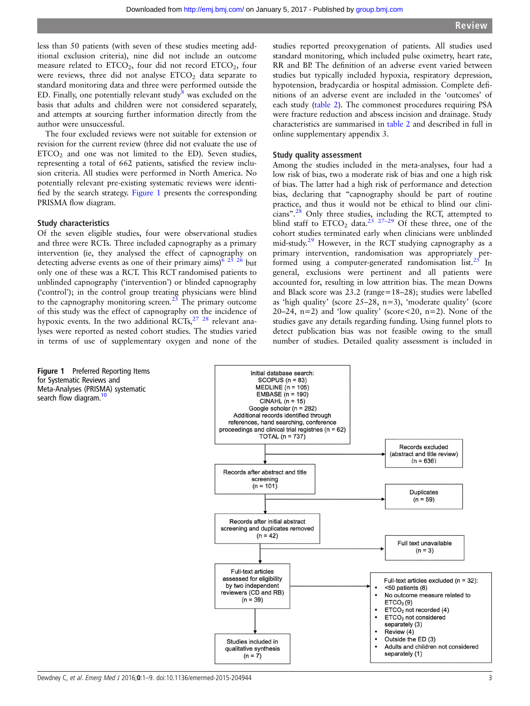less than 50 patients (with seven of these studies meeting additional exclusion criteria), nine did not include an outcome measure related to  $ETCO<sub>2</sub>$ , four did not record  $ETCO<sub>2</sub>$ , four were reviews, three did not analyse  $ETCO<sub>2</sub>$  data separate to standard monitoring data and three were performed outside the ED. Finally, one potentially relevant study $8$  was excluded on the basis that adults and children were not considered separately, and attempts at sourcing further information directly from the author were unsuccessful.

The four excluded reviews were not suitable for extension or revision for the current review (three did not evaluate the use of  $ETCO<sub>2</sub>$  and one was not limited to the ED). Seven studies, representing a total of 662 patients, satisfied the review inclusion criteria. All studies were performed in North America. No potentially relevant pre-existing systematic reviews were identified by the search strategy. Figure 1 presents the corresponding PRISMA flow diagram.

#### Study characteristics

Of the seven eligible studies, four were observational studies and three were RCTs. Three included capnography as a primary intervention (ie, they analysed the effect of capnography on detecting adverse events as one of their primary aims)<sup>6 25</sup> <sup>26</sup> but only one of these was a RCT. This RCT randomised patients to unblinded capnography ('intervention') or blinded capnography ('control'); in the control group treating physicians were blind to the capnography monitoring screen.<sup>25</sup> The primary outcome of this study was the effect of capnography on the incidence of hypoxic events. In the two additional  $\text{RCTs}$ <sup>27</sup> <sup>28</sup> relevant analyses were reported as nested cohort studies. The studies varied in terms of use of supplementary oxygen and none of the

studies reported preoxygenation of patients. All studies used standard monitoring, which included pulse oximetry, heart rate, RR and BP. The definition of an adverse event varied between studies but typically included hypoxia, respiratory depression, hypotension, bradycardia or hospital admission. Complete definitions of an adverse event are included in the 'outcomes' of each study [\(table 2](#page-3-0)). The commonest procedures requiring PSA were fracture reduction and abscess incision and drainage. Study characteristics are summarised in [table 2](#page-3-0) and described in full in online supplementary appendix 3.

# Study quality assessment

Among the studies included in the meta-analyses, four had a low risk of bias, two a moderate risk of bias and one a high risk of bias. The latter had a high risk of performance and detection bias, declaring that "capnography should be part of routine practice, and thus it would not be ethical to blind our clinicians". [28](#page-7-0) Only three studies, including the RCT, attempted to blind staff to  $ETCO_2$  data.<sup>[25](#page-7-0)</sup> <sup>27-[29](#page-7-0)</sup> Of these three, one of the cohort studies terminated early when clinicians were unblinded mid-study.<sup>[29](#page-8-0)</sup> However, in the RCT studying capnography as a primary intervention, randomisation was appropriately performed using a computer-generated randomisation list. $25$  In general, exclusions were pertinent and all patients were accounted for, resulting in low attrition bias. The mean Downs and Black score was 23.2 (range=18–28); studies were labelled as 'high quality' (score 25–28, n=3), 'moderate quality' (score 20–24, n=2) and 'low quality' (score < 20, n=2). None of the studies gave any details regarding funding. Using funnel plots to detect publication bias was not feasible owing to the small number of studies. Detailed quality assessment is included in

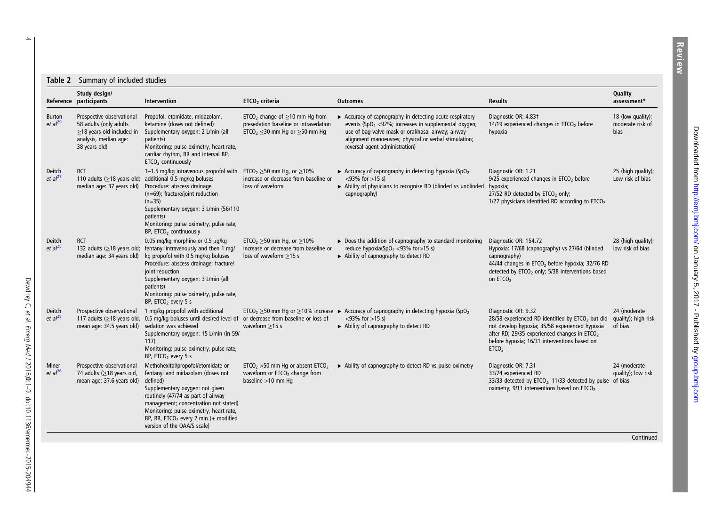#### <span id="page-3-0"></span>Table 2 Summary of included studies

|                                      | Study design/<br>Reference participants                                                                                          | Intervention                                                                                                                                                                                                                                                                                                                                                                    | ETCO <sub>2</sub> criteria                                                                                                                        | <b>Outcomes</b>                                                                                                                                                                                                                                                               | <b>Results</b>                                                                                                                                                                                                                                                         | Quality<br>assessment*                         |
|--------------------------------------|----------------------------------------------------------------------------------------------------------------------------------|---------------------------------------------------------------------------------------------------------------------------------------------------------------------------------------------------------------------------------------------------------------------------------------------------------------------------------------------------------------------------------|---------------------------------------------------------------------------------------------------------------------------------------------------|-------------------------------------------------------------------------------------------------------------------------------------------------------------------------------------------------------------------------------------------------------------------------------|------------------------------------------------------------------------------------------------------------------------------------------------------------------------------------------------------------------------------------------------------------------------|------------------------------------------------|
| <b>Burton</b><br>et al <sup>29</sup> | Prospective observational<br>58 adults (only adults<br>$\geq$ 18 years old included in<br>analysis, median age:<br>38 years old) | Propofol, etomidate, midazolam,<br>ketamine (doses not defined)<br>Supplementary oxygen: 2 L/min (all<br>patients)<br>Monitoring: pulse oximetry, heart rate,<br>cardiac rhythm, RR and interval BP,<br>ETCO <sub>2</sub> continuously                                                                                                                                          | ETCO <sub>2</sub> change of $\geq$ 10 mm Hg from<br>presedation baseline or intrasedation<br>ETCO <sub>2</sub> $\leq$ 30 mm Hg or $\geq$ 50 mm Hg | ► Accuracy of capnography in detecting acute respiratory<br>events (SpO <sub>2</sub> <92%; increases in supplemental oxygen;<br>use of bag-valve mask or oral/nasal airway; airway<br>alignment manoeuvres; physical or verbal stimulation;<br>reversal agent administration) | Diagnostic OR: 4.831<br>14/19 experienced changes in ETCO <sub>2</sub> before<br>hypoxia                                                                                                                                                                               | 18 (low quality);<br>moderate risk of<br>bias  |
| Deitch<br>et al <sup>27</sup>        | <b>RCT</b><br>median age: 37 years old)                                                                                          | 1-1.5 mg/kg intravenous propofol with ETCO <sub>2</sub> $\geq$ 50 mm Hg, or $\geq$ 10%<br>110 adults ( $\geq$ 18 years old; additional 0.5 mg/kg boluses<br>Procedure: abscess drainage<br>(n=69); fracture/joint reduction<br>$(n=35)$<br>Supplementary oxygen: 3 L/min (56/110)<br>patients)<br>Monitoring: pulse oximetry, pulse rate,<br>BP, ETCO <sub>2</sub> continuously | increase or decrease from baseline or<br>loss of waveform                                                                                         | $\triangleright$ Accuracy of capnography in detecting hypoxia (SpO <sub>2</sub> )<br>$<$ 93% for $>$ 15 s)<br>Ability of physicians to recognise RD (blinded vs unblinded<br>capnography)                                                                                     | Diagnostic OR: 1.21<br>9/25 experienced changes in ETCO <sub>2</sub> before<br>hypoxia;<br>27/52 RD detected by ETCO <sub>2</sub> only;<br>1/27 physicians identified RD according to ETCO <sub>2</sub>                                                                | 25 (high quality);<br>Low risk of bias         |
| Deitch<br>et al <sup>25</sup>        | <b>RCT</b><br>132 adults ( $\geq$ 18 years old;<br>median age: 34 years old)                                                     | 0.05 mg/kg morphine or 0.5 $\mu$ g/kg<br>fentanyl intravenously and then 1 mg/<br>kg propofol with 0.5 mg/kg boluses<br>Procedure: abscess drainage; fracture/<br>joint reduction<br>Supplementary oxygen: 3 L/min (all<br>patients)<br>Monitoring: pulse oximetry, pulse rate,<br>BP, ETCO <sub>2</sub> every 5 s                                                              | ETCO <sub>2</sub> $\geq$ 50 mm Hg, or $\geq$ 10%<br>increase or decrease from baseline or<br>loss of waveform $\geq$ 15 s                         | $\triangleright$ Does the addition of capnography to standard monitoring<br>reduce hypoxia(SpO <sub>2</sub> <93% for > 15 s)<br>$\triangleright$ Ability of capnography to detect RD                                                                                          | Diagnostic OR: 154.72<br>Hypoxia: 17/68 (capnography) vs 27/64 (blinded<br>capnography)<br>44/44 changes in ETCO <sub>2</sub> before hypoxia; 32/76 RD<br>detected by ETCO <sub>2</sub> only; 5/38 interventions based<br>on ETCO <sub>2</sub>                         | 28 (high quality);<br>low risk of bias         |
| Deitch<br>et al $^{28}$              | Prospective observational<br>117 adults ( $\geq$ 18 years old,<br>mean age: 34.5 years old)                                      | 1 mg/kg propofol with additional<br>0.5 mg/kg boluses until desired level of or decrease from baseline or loss of<br>sedation was achieved<br>Supplementary oxygen: 15 L/min (in 59/<br>117)<br>Monitoring: pulse oximetry, pulse rate,<br>BP, ETCO <sub>2</sub> every 5 s                                                                                                      | waveform $>15$ s                                                                                                                                  | ETCO <sub>2</sub> $\geq$ 50 mm Hg or $\geq$ 10% increase $\triangleright$ Accuracy of capnography in detecting hypoxia (SpO <sub>2</sub><br>$<$ 93% for $>$ 15 s)<br>Ability of capnography to detect RD                                                                      | Diagnostic OR: 9.32<br>28/58 experienced RD identified by ETCO <sub>2</sub> but did<br>not develop hypoxia; 35/58 experienced hypoxia<br>after RD; 29/35 experienced changes in ETCO <sub>2</sub><br>before hypoxia; 16/31 interventions based on<br>ETCO <sub>2</sub> | 24 (moderate<br>quality); high risk<br>of bias |
| Miner<br>et al <sup>26</sup>         | Prospective observational<br>74 adults ( $\geq$ 18 years old,<br>mean age: 37.6 years old)                                       | Methohexital/propofol/etomidate or<br>fentanyl and midazolam (doses not<br>defined)<br>Supplementary oxygen: not given<br>routinely (47/74 as part of airway<br>management; concentration not stated)<br>Monitoring: pulse oximetry, heart rate,<br>BP, RR, ETCO <sub>2</sub> every 2 min (+ modified<br>version of the OAA/S scale)                                            | $ETCO2 > 50$ mm Hg or absent $ETCO2$<br>waveform or ETCO <sub>2</sub> change from<br>baseline $>10$ mm Hq                                         | Ability of capnography to detect RD vs pulse oximetry                                                                                                                                                                                                                         | Diagnostic OR: 7.31<br>33/74 experienced RD<br>33/33 detected by ETCO <sub>2</sub> , 11/33 detected by pulse of bias<br>oximetry; 9/11 interventions based on ETCO <sub>2</sub>                                                                                        | 24 (moderate<br>quality); low risk             |
|                                      |                                                                                                                                  |                                                                                                                                                                                                                                                                                                                                                                                 |                                                                                                                                                   |                                                                                                                                                                                                                                                                               |                                                                                                                                                                                                                                                                        | Continued                                      |

Dewdney C,

et al . Emerg Med J

2016; 0:1

–9. doi:10.1136/emermed-2015-204944

Review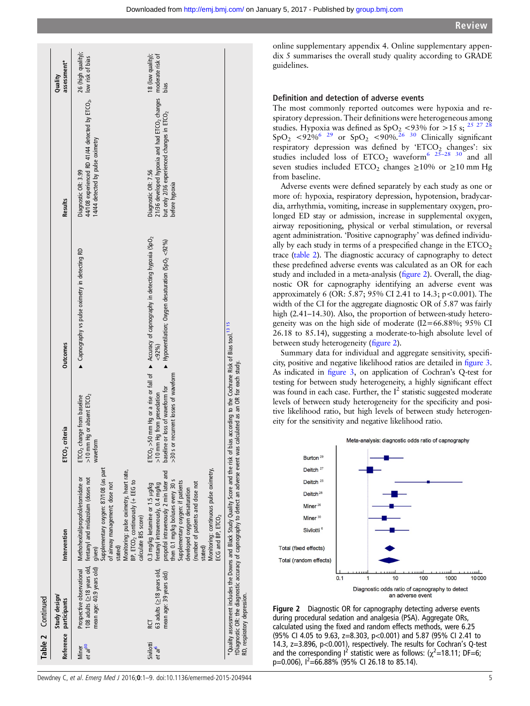|                                 | Table 2 Continued                                          |                                                                                                                                                                                                                                                                                                                                              |                                                                                                              |                                                                                                                                                                                                                                    |                                                                                                                                                              |                                               |
|---------------------------------|------------------------------------------------------------|----------------------------------------------------------------------------------------------------------------------------------------------------------------------------------------------------------------------------------------------------------------------------------------------------------------------------------------------|--------------------------------------------------------------------------------------------------------------|------------------------------------------------------------------------------------------------------------------------------------------------------------------------------------------------------------------------------------|--------------------------------------------------------------------------------------------------------------------------------------------------------------|-----------------------------------------------|
|                                 | Study design/<br>Reference participants                    | Intervention                                                                                                                                                                                                                                                                                                                                 | ETCO <sub>2</sub> criteria                                                                                   | <b>Outcomes</b>                                                                                                                                                                                                                    | <b>Results</b>                                                                                                                                               | assessment*<br>Quality                        |
| et al <sup>30</sup><br>Miner    | mean age: 40.9 years old) given)                           | Supplementary oxygen: 87/108 (as part<br>Monitoring: pulse oximetry, heart rate,<br>Prospective observational Methohexital/propofol/etomidate or<br>108 adults ( $\geq$ 18 years old, fentanyl and midazolam (doses not<br>BP, ETCO <sub>2</sub> continuously (+ EEG to<br>of airway management; dose not<br>calculate BIS score)<br>stated) | $>10$ mm Hg or absent ETCO <sub>2</sub><br>ETCO <sub>2</sub> change from baseline<br>waveform                | ► Capnography vs pulse oximetry in detecting RD                                                                                                                                                                                    | 44/108 experienced RD 41/44 detected by ETCO2,<br>14/44 detected by pulse oximetry<br>Diagnostic OR: 3.99                                                    | 26 (high quality);<br>low risk of bias        |
| Sivilotti<br>et al <sup>b</sup> | 63 adults (>18 years old,<br>mean age: 39 years old)<br>ĔД | Monitoring: continuous pulse oximetry,<br>propofol intravenously 2 min later and<br>then 0.1 mg/kg boluses every 30 s<br>Supplementary oxygen: if patients<br>(number of patients and dose not<br>fentanyl intravenously, 0.4 mg/kg<br>0.3 mg/kg ketamine or 1.5 µg/kg<br>developed oxygen desaturation<br>ECG and BP, $ETCO2$<br>stated)    | recurrent losses of waveform<br>baseline or loss of waveform for<br>>10 mm Hg from presedation<br>$>30$ s or | ETCO <sub>2</sub> >50 mm Hg or a rise or fall of $\triangleright$ Accuracy of capnography in detecting hypoxia (SpO <sub>2</sub><br>$\blacktriangleright$ Hypoventilation; Oxygen desaturation (SpO <sub>2</sub> <92%)<br>$(92\%)$ | 21/36 developed hypoxia and had ETCO <sub>2</sub> changes<br>but only 2/36 experienced changes in ETCO <sub>2</sub><br>Diagnostic OR: 7.56<br>before hypoxia | moderate risk of<br>bias<br>18 (low quality); |
|                                 | RD, respiratory depression.                                | *Quality assessment includes the Downs and Black Study Quality Score and the risk of bias according to the Cochrane Risk of Bias tool. <sup>1315</sup><br>tDiagnostic OR: the diagnostic accuracy of capnography to detect an adverse event was ca                                                                                           | Iculated as an OR for each study.                                                                            |                                                                                                                                                                                                                                    |                                                                                                                                                              |                                               |

online supplementary appendix 4. Online supplementary appendix 5 summarises the overall study quality according to GRADE guidelines.

# Definition and detection of adverse events

The most commonly reported outcomes were hypoxia and respiratory depression. Their definitions were heterogeneous among studies. Hypoxia was defined as  $SpO<sub>2</sub>$  <93% for >15 s; <sup>[25 27 28](#page-7-0)</sup>  $SpO<sub>2</sub> < 92\%<sup>6</sup>$  $SpO<sub>2</sub> < 92\%<sup>6</sup>$  $SpO<sub>2</sub> < 92\%<sup>6</sup>$  <sup>29</sup> or  $SpO<sub>2</sub> < 90\%<sup>26</sup>$  $SpO<sub>2</sub> < 90\%<sup>26</sup>$  $SpO<sub>2</sub> < 90\%<sup>26</sup>$  <sup>30</sup> Clinically significant respiratory depression was defined by 'ETCO<sub>2</sub> changes': six studies included loss of  $ETCO<sub>2</sub>$  waveform<sup>[6](#page-7-0)</sup>  $25-28$  $25-28$  [30](#page-8-0) and all seven studies included ETCO<sub>2</sub> changes  $\geq 10\%$  or  $\geq 10$  mm Hg from baseline.

Adverse events were defined separately by each study as one or more of: hypoxia, respiratory depression, hypotension, bradycardia, arrhythmia, vomiting, increase in supplementary oxygen, prolonged ED stay or admission, increase in supplemental oxygen, airway repositioning, physical or verbal stimulation, or reversal agent administration. 'Positive capnography' was defined individually by each study in terms of a prespecified change in the  $ETCO<sub>2</sub>$ trace [\(table 2](#page-3-0)). The diagnostic accuracy of capnography to detect these predefined adverse events was calculated as an OR for each study and included in a meta-analysis (figure 2). Overall, the diagnostic OR for capnography identifying an adverse event was approximately 6 (OR: 5.87; 95% CI 2.41 to 14.3; p<0.001). The width of the CI for the aggregate diagnostic OR of 5.87 was fairly high (2.41–14.30). Also, the proportion of between-study heterogeneity was on the high side of moderate  $(I2=66.88\%; 95\% \text{ CI}$ 26.18 to 85.14), suggesting a moderate-to-high absolute level of between study heterogeneity (figure 2).

Summary data for individual and aggregate sensitivity, specificity, positive and negative likelihood ratios are detailed in fi[gure 3.](#page-5-0) As indicated in fi[gure 3](#page-5-0), on application of Cochran's Q-test for testing for between study heterogeneity, a highly significant effect was found in each case. Further, the  $I^2$  statistic suggested moderate levels of between study heterogeneity for the specificity and positive likelihood ratio, but high levels of between study heterogeneity for the sensitivity and negative likelihood ratio.



Figure 2 Diagnostic OR for capnography detecting adverse events during procedural sedation and analgesia (PSA). Aggregate ORs, calculated using the fixed and random effects methods, were 6.25 (95% CI 4.05 to 9.63, z=8.303, p<0.001) and 5.87 (95% CI 2.41 to 14.3, z=3.896, p<0.001), respectively. The results for Cochran's Q-test and the corresponding  $I^2$  statistic were as follows: ( $\chi^2$ =18.11; DF=6; p=0.006),  $1^2$ =66.88% (95% CI 26.18 to 85.14).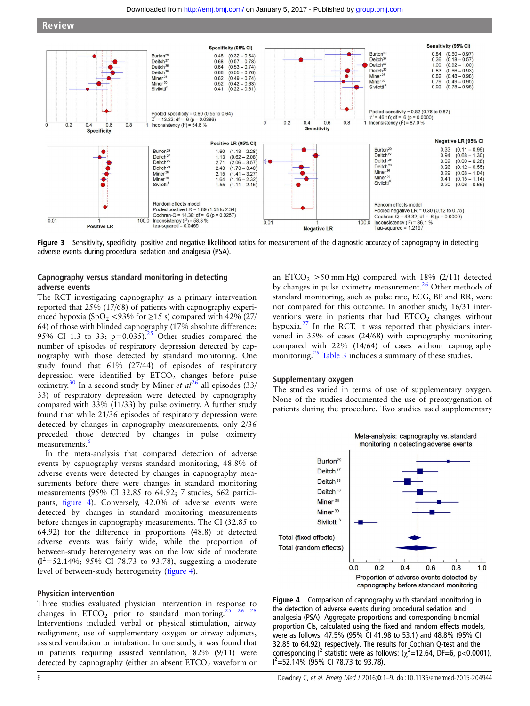<span id="page-5-0"></span>

Figure 3 Sensitivity, specificity, positive and negative likelihood ratios for measurement of the diagnostic accuracy of capnography in detecting adverse events during procedural sedation and analgesia (PSA).

# Capnography versus standard monitoring in detecting adverse events

The RCT investigating capnography as a primary intervention reported that 25% (17/68) of patients with capnography experienced hypoxia (SpO<sub>2</sub> <93% for  $\geq$ 15 s) compared with 42% (27/ 64) of those with blinded capnography (17% absolute difference; 95% CI 1.3 to 33;  $p=0.035$ ).<sup>[25](#page-7-0)</sup> Other studies compared the number of episodes of respiratory depression detected by capnography with those detected by standard monitoring. One study found that 61% (27/44) of episodes of respiratory depression were identified by  $ETCO_2$  changes before pulse oximetry.<sup>[30](#page-8-0)</sup> In a second study by Miner et  $al^{26}$  $al^{26}$  $al^{26}$  all episodes (33/ 33) of respiratory depression were detected by capnography compared with 33% (11/33) by pulse oximetry. A further study found that while 21/36 episodes of respiratory depression were detected by changes in capnography measurements, only 2/36 preceded those detected by changes in pulse oximetry measurements.<sup>[6](#page-7-0)</sup>

In the meta-analysis that compared detection of adverse events by capnography versus standard monitoring, 48.8% of adverse events were detected by changes in capnography measurements before there were changes in standard monitoring measurements (95% CI 32.85 to 64.92; 7 studies, 662 participants, figure 4). Conversely, 42.0% of adverse events were detected by changes in standard monitoring measurements before changes in capnography measurements. The CI (32.85 to 64.92) for the difference in proportions (48.8) of detected adverse events was fairly wide, while the proportion of between-study heterogeneity was on the low side of moderate  $(I^2 = 52.14\%; 95\% \text{ CI } 78.73 \text{ to } 93.78)$ , suggesting a moderate level of between-study heterogeneity (figure 4).

#### Physician intervention

Three studies evaluated physician intervention in response to changes in  $ETCO<sub>2</sub>$  prior to standard monitoring.<sup>25</sup> Interventions included verbal or physical stimulation, airway realignment, use of supplementary oxygen or airway adjuncts, assisted ventilation or intubation. In one study, it was found that in patients requiring assisted ventilation, 82% (9/11) were detected by capnography (either an absent  $ETCO<sub>2</sub>$  waveform or

an ETCO<sub>2</sub> > 50 mm Hg) compared with 18% (2/11) detected by changes in pulse oximetry measurement.<sup>26</sup> Other methods of standard monitoring, such as pulse rate, ECG, BP and RR, were not compared for this outcome. In another study, 16/31 interventions were in patients that had  $ETCO<sub>2</sub>$  changes without hypoxia. $27$  In the RCT, it was reported that physicians intervened in 35% of cases (24/68) with capnography monitoring compared with 22% (14/64) of cases without capnography monitoring.<sup>[25](#page-7-0)</sup> [Table 3](#page-6-0) includes a summary of these studies.

#### Supplementary oxygen

The studies varied in terms of use of supplementary oxygen. None of the studies documented the use of preoxygenation of patients during the procedure. Two studies used supplementary



Figure 4 Comparison of capnography with standard monitoring in the detection of adverse events during procedural sedation and analgesia (PSA). Aggregate proportions and corresponding binomial proportion CIs, calculated using the fixed and random effects models, were as follows: 47.5% (95% CI 41.98 to 53.1) and 48.8% (95% CI 32.85 to 64.92), respectively. The results for Cochran Q-test and the<br>corresponding I<sup>2</sup> statistic were as follows: ( $\chi^2$ =12.64, DF=6, p<0.0001),  $I^2$ =52.14% (95% CI 78.73 to 93.78).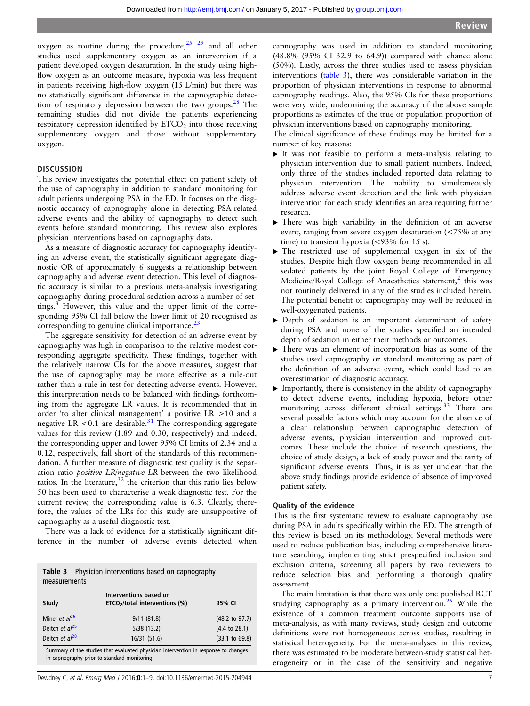<span id="page-6-0"></span>oxygen as routine during the procedure,  $25 \frac{29}{2}$  $25 \frac{29}{2}$  and all other studies used supplementary oxygen as an intervention if a patient developed oxygen desaturation. In the study using highflow oxygen as an outcome measure, hypoxia was less frequent in patients receiving high-flow oxygen (15 L/min) but there was no statistically significant difference in the capnographic detection of respiratory depression between the two groups.[28](#page-7-0) The remaining studies did not divide the patients experiencing respiratory depression identified by  $ETCO<sub>2</sub>$  into those receiving supplementary oxygen and those without supplementary oxygen.

# **DISCUSSION**

This review investigates the potential effect on patient safety of the use of capnography in addition to standard monitoring for adult patients undergoing PSA in the ED. It focuses on the diagnostic accuracy of capnography alone in detecting PSA-related adverse events and the ability of capnography to detect such events before standard monitoring. This review also explores physician interventions based on capnography data.

As a measure of diagnostic accuracy for capnography identifying an adverse event, the statistically significant aggregate diagnostic OR of approximately 6 suggests a relationship between capnography and adverse event detection. This level of diagnostic accuracy is similar to a previous meta-analysis investigating capnography during procedural sedation across a number of settings.[3](#page-7-0) However, this value and the upper limit of the corresponding 95% CI fall below the lower limit of 20 recognised as corresponding to genuine clinical importance.<sup>[23](#page-7-0)</sup>

The aggregate sensitivity for detection of an adverse event by capnography was high in comparison to the relative modest corresponding aggregate specificity. These findings, together with the relatively narrow CIs for the above measures, suggest that the use of capnography may be more effective as a rule-out rather than a rule-in test for detecting adverse events. However, this interpretation needs to be balanced with findings forthcoming from the aggregate LR values. It is recommended that in order 'to alter clinical management' a positive LR >10 and a negative LR  $\leq$  0.1 are desirable.<sup>31</sup> The corresponding aggregate values for this review (1.89 and 0.30, respectively) and indeed, the corresponding upper and lower 95% CI limits of 2.34 and a 0.12, respectively, fall short of the standards of this recommendation. A further measure of diagnostic test quality is the separation ratio positive LR[/ne](#page-8-0)gative LR between the two likelihood ratios. In the literature,  $32$  the criterion that this ratio lies below 50 has been used to characterise a weak diagnostic test. For the current review, the corresponding value is 6.3. Clearly, therefore, the values of the LRs for this study are unsupportive of capnography as a useful diagnostic test.

There was a lack of evidence for a statistically significant difference in the number of adverse events detected when

|              | Table 3 Physician interventions based on capnography |
|--------------|------------------------------------------------------|
| measurements |                                                      |

| Study               | Interventions based on<br>ETCO <sub>2</sub> /total interventions (%)                                      | 95% CI                    |
|---------------------|-----------------------------------------------------------------------------------------------------------|---------------------------|
| Miner et $al^{26}$  | 9/11(81.8)                                                                                                | $(48.2 \text{ to } 97.7)$ |
| Deitch et $al^{25}$ | 5/38(13.2)                                                                                                | $(4.4 \text{ to } 28.1)$  |
| Deitch et $a^{28}$  | 16/31 (51.6)                                                                                              | $(33.1 \text{ to } 69.8)$ |
|                     | Concerted of the children than conflicted which the bitangulation to account the concerted to the concert |                           |

Summary of the studies that evaluated physician intervention in response to changes in capnography prior to standard monitoring.

capnography was used in addition to standard monitoring (48.8% (95% CI 32.9 to 64.9)) compared with chance alone (50%). Lastly, across the three studies used to assess physician interventions (table 3), there was considerable variation in the proportion of physician interventions in response to abnormal capnography readings. Also, the 95% CIs for these proportions were very wide, undermining the accuracy of the above sample proportions as estimates of the true or population proportion of physician interventions based on capnography monitoring.

The clinical significance of these findings may be limited for a number of key reasons:

- ▸ It was not feasible to perform a meta-analysis relating to physician intervention due to small patient numbers. Indeed, only three of the studies included reported data relating to physician intervention. The inability to simultaneously address adverse event detection and the link with physician intervention for each study identifies an area requiring further research.
- $\blacktriangleright$  There was high variability in the definition of an adverse event, ranging from severe oxygen desaturation (<75% at any time) to transient hypoxia (<93% for 15 s).
- ▸ The restricted use of supplemental oxygen in six of the studies. Despite high flow oxygen being recommended in all sedated patients by the joint Royal College of Emergency Medicine/Royal College of Anaesthetics statement,<sup>[2](#page-7-0)</sup> this was not routinely delivered in any of the studies included herein. The potential benefit of capnography may well be reduced in well-oxygenated patients.
- ▸ Depth of sedation is an important determinant of safety during PSA and none of the studies specified an intended depth of sedation in either their methods or outcomes.
- ▸ There was an element of incorporation bias as some of the studies used capnography or standard monitoring as part of the definition of an adverse event, which could lead to an overestimation of diagnostic accuracy.
- $\blacktriangleright$  Importantly, there is consistency in the ability of capnography to detect adverse events, including hypoxia, before other monitoring across different clinical settings.<sup>[33](#page-8-0)</sup> There are several possible factors which may account for the absence of a clear relationship between capnographic detection of adverse events, physician intervention and improved outcomes. These include the choice of research questions, the choice of study design, a lack of study power and the rarity of significant adverse events. Thus, it is as yet unclear that the above study findings provide evidence of absence of improved patient safety.

# Quality of the evidence

This is the first systematic review to evaluate capnography use during PSA in adults specifically within the ED. The strength of this review is based on its methodology. Several methods were used to reduce publication bias, including comprehensive literature searching, implementing strict prespecified inclusion and exclusion criteria, screening all papers by two reviewers to reduce selection bias and performing a thorough quality assessment.

The main limitation is that there was only one published RCT studying capnography as a primary intervention.<sup>[25](#page-7-0)</sup> While the existence of a common treatment outcome supports use of meta-analysis, as with many reviews, study design and outcome definitions were not homogeneous across studies, resulting in statistical heterogeneity. For the meta-analyses in this review, there was estimated to be moderate between-study statistical heterogeneity or in the case of the sensitivity and negative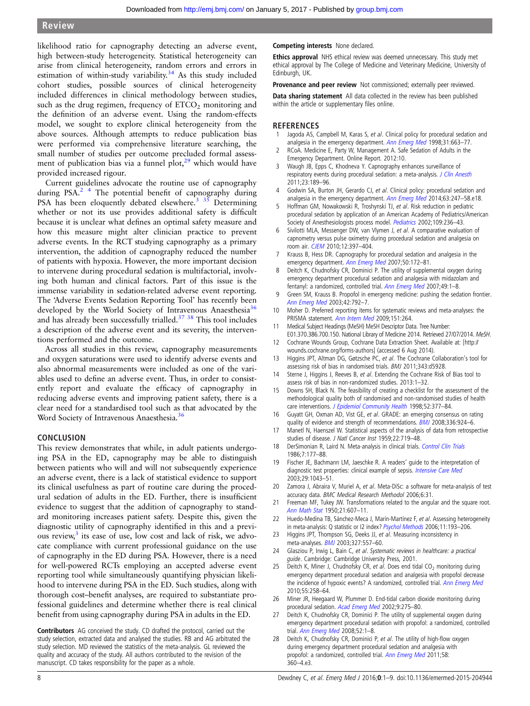<span id="page-7-0"></span>likelihood ratio for capnography detecting an adverse event, high between-study heterogeneity. Statistical heterogeneity can arise from clinical heterogeneity, random errors and errors in estimation of within-study variability.<sup>[34](#page-8-0)</sup> As this study included cohort studies, possible sources of clinical heterogeneity included differences in clinical methodology between studies, such as the drug regimen, frequency of  $ETCO<sub>2</sub>$  monitoring and the definition of an adverse event. Using the random-effects model, we sought to explore clinical heterogeneity from the above sources. Although attempts to reduce publication bias were performed via comprehensive literature searching, the small number of studies per outcome precluded formal assessment of publication bias via a funnel  $plot<sub>1</sub><sup>29</sup>$  $plot<sub>1</sub><sup>29</sup>$  $plot<sub>1</sub><sup>29</sup>$  which would have provided increased rigour.

Current guidelines advocate the routine use of capnography during PSA.<sup>2</sup> <sup>4</sup> The potential benefit of capnography during PSA has been eloquently debated elsewhere.<sup>3</sup> <sup>35</sup> Determining whether or not its use provides additional safety is difficult because it is unclear what defines an optimal safety measure and how this measure might alter clinician practice to prevent adverse events. In the RCT studying capnography as a primary intervention, the addition of capnography reduced the number of patients with hypoxia. However, the more important decision to intervene during procedural sedation is multifactorial, involving both human and clinical factors. Part of this issue is the immense variability in sedation-related adverse event reporting. The 'Adverse Events Sedation Reporting Tool' has recently been developed by the World Society of Intravenous Anaesthesia<sup>[36](#page-8-0)</sup> and has already been successfully trialled.<sup>37</sup> <sup>38</sup> This tool includes a description of the adverse event and its severity, the interventions performed and the outcome.

Across all studies in this review, capnography measurements and oxygen saturations were used to identify adverse events and also abnormal measurements were included as one of the variables used to define an adverse event. Thus, in order to consistently report and evaluate the efficacy of capnography in reducing adverse events and improving patient safety, there is a clear need for a standardised tool such as that advocated by the Word Society of Intravenous Anaesthesia.<sup>[36](#page-8-0)</sup>

# **CONCLUSION**

This review demonstrates that while, in adult patients undergoing PSA in the ED, capnography may be able to distinguish between patients who will and will not subsequently experience an adverse event, there is a lack of statistical evidence to support its clinical usefulness as part of routine care during the procedural sedation of adults in the ED. Further, there is insufficient evidence to suggest that the addition of capnography to standard monitoring increases patient safety. Despite this, given the diagnostic utility of capnography identified in this and a previous review, $3$  its ease of use, low cost and lack of risk, we advocate compliance with current professional guidance on the use of capnography in the ED during PSA. However, there is a need for well-powered RCTs employing an accepted adverse event reporting tool while simultaneously quantifying physician likelihood to intervene during PSA in the ED. Such studies, along with thorough cost–benefit analyses, are required to substantiate professional guidelines and determine whether there is real clinical benefit from using capnography during PSA in adults in the ED.

Contributors AG conceived the study. CD drafted the protocol, carried out the study selection, extracted data and analysed the studies. RB and AG arbitrated the study selection. MD reviewed the statistics of the meta-analysis. GL reviewed the quality and accuracy of the study. All authors contributed to the revision of the manuscript. CD takes responsibility for the paper as a whole.

Competing interests None declared.

**Ethics approval** NHS ethical review was deemed unnecessary. This study met ethical approval by The College of Medicine and Veterinary Medicine, University of Edinburgh, UK.

Provenance and peer review Not commissioned; externally peer reviewed.

Data sharing statement All data collected in the review has been published within the article or supplementary files online.

# **REFERENCES**

- 1 Jagoda AS, Campbell M, Karas S, et al. Clinical policy for procedural sedation and analgesia in the emergency department. [Ann Emerg Med](http://dx.doi.org/10.1016/S0196-0644(98)70216-1) 1998;31:663-77.
- 2 RCoA. Medicine E, Party W, Management A. Safe Sedation of Adults in the Emergency Department. Online Report. 2012:10.
- 3 Waugh JB, Epps C, Khodneva Y. Capnography enhances surveillance of respiratory events during procedural sedation: a meta-analysis. [J Clin Anesth](http://dx.doi.org/10.1016/j.jclinane.2010.08.012) 2011;23:189–96.
- 4 Godwin SA, Burton JH, Gerardo CJ, et al. Clinical policy: procedural sedation and analgesia in the emergency department. [Ann Emerg Med](http://dx.doi.org/10.1016/j.annemergmed.2013.10.015) 2014;63:247-58.e18.
- 5 Hoffman GM, Nowakowski R, Troshynski TJ, et al. Risk reduction in pediatric procedural sedation by application of an American Academy of Pediatrics/American Society of Anesthesiologists process model. [Pediatrics](http://dx.doi.org/10.1542/peds.109.2.236) 2002;109:236-43.
- Sivilotti MLA, Messenger DW, van Vlymen J, et al. A comparative evaluation of capnometry versus pulse oximetry during procedural sedation and analgesia on room air. [CJEM](http://dx.doi.org/10.1017/S1481803500012549) 2010;12:397-404.
- 7 Krauss B, Hess DR. Capnography for procedural sedation and analgesia in the emergency department. [Ann Emerg Med](http://dx.doi.org/10.1016/j.annemergmed.2006.10.016) 2007;50:172-81.
- Deitch K, Chudnofsky CR, Dominici P. The utility of supplemental oxygen during emergency department procedural sedation and analgesia with midazolam and fentanyl: a randomized, controlled trial. [Ann Emerg Med](http://dx.doi.org/10.1016/j.annemergmed.2006.06.013) 2007;49:1-8.
- Green SM, Krauss B. Propofol in emergency medicine: pushing the sedation frontier. [Ann Emerg Med](http://dx.doi.org/10.1016/S0196-0644(03)00746-7) 2003;42:792–7.
- 10 Moher D. Preferred reporting items for systematic reviews and meta-analyses: the PRISMA statement. [Ann Intern Med](http://dx.doi.org/10.7326/0003-4819-151-4-200908180-00135) 2009;151:264.
- 11 Medical Subject Headings (MeSH) MeSH Descriptor Data. Tree Number: E01.370.386.700.150. National Library of Medicine 2014. Retrieved 27/07/2014. MeSH.
- 12 Cochrane Wounds Group, Cochrane Data Extraction Sheet. Available at: [\[http://](http://wounds.cochrane.org/forms-authors) [wounds.cochrane.org/forms-authors\]](http://wounds.cochrane.org/forms-authors) (accessed 6 Aug 2014).
- 13 Higgins JPT, Altman DG, Gøtzsche PC, et al. The Cochrane Collaboration's tool for assessing risk of bias in randomised trials. BMJ 2011;343:d5928.
- 14 Sterne J, Higgins J, Reeves B, et al. Extending the Cochrane Risk of Bias tool to assess risk of bias in non-randomized studies. 2013:1–32.
- Downs SH, Black N. The feasibility of creating a checklist for the assessment of the methodological quality both of randomised and non-randomised studies of health care interventions. [J Epidemiol Community Health](http://dx.doi.org/10.1136/jech.52.6.377) 1998;52:377-84.
- 16 Guyatt GH, Oxman AD, Vist GE, et al. GRADE: an emerging consensus on rating quality of evidence and strength of recommendations. **[BMJ](http://dx.doi.org/10.1136/bmj.39489.470347.AD)** 2008;336:924-6.
- 17 Manetl N, Haenszel W. Statistical aspects of the analysis of data from retrospective studies of disease. J Natl Cancer Inst 1959;22:719–48.
- 18 DerSimonian R, Laird N. Meta-analysis in clinical trials. [Control Clin Trials](http://dx.doi.org/10.1016/0197-2456(86)90046-2) 1986;7:177–88.
- 19 Fischer JE, Bachmann LM, Jaeschke R. A readers' guide to the interpretation of diagnostic test properties: clinical example of sepsis. [Intensive Care Med](http://dx.doi.org/10.1007/s00134-003-1761-8) 2003;29:1043–51.
- 20 Zamora J, Abraira V, Muriel A, et al. Meta-DiSc: a software for meta-analysis of test accuracy data. BMC Medical Research Methodol 2006;6:31.
- 21 Freeman MF, Tukey JW. Transformations related to the angular and the square root. [Ann Math Stat](http://dx.doi.org/10.1214/aoms/1177729756) 1950;21:607–11.
- 22 Huedo-Medina TB, Sánchez-Meca J, Marín-Martínez F, et al. Assessing heterogeneity in meta-analysis: Q statistic or I2 index? [Psychol Methods](http://dx.doi.org/10.1037/1082-989X.11.2.193) 2006;11:193-206.
- 23 Higgins JPT, Thompson SG, Deeks JJ, et al. Measuring inconsistency in meta-analyses. [BMJ](http://dx.doi.org/10.1136/bmj.327.7414.557) 2003;327:557–60.
- 24 Glasziou P, Irwig L, Bain C, et al. Systematic reviews in healthcare: a practical guide. Cambridge: Cambridge University Press, 2001.
- 25 Deitch K, Miner J, Chudnofsky CR, et al. Does end tidal  $CO<sub>2</sub>$  monitoring during emergency department procedural sedation and analgesia with propofol decrease the incidence of hypoxic events? A randomized, controlled trial. [Ann Emerg Med](http://dx.doi.org/10.1016/j.annemergmed.2009.07.030) 2010;55:258–64.
- 26 Miner JR, Heegaard W, Plummer D. End-tidal carbon dioxide monitoring during procedural sedation. [Acad Emerg Med](http://dx.doi.org/10.1111/j.1553-2712.2002.tb01318.x) 2002;9:275-80.
- 27 Deitch K, Chudnofsky CR, Dominici P. The utility of supplemental oxygen during emergency department procedural sedation with propofol: a randomized, controlled trial. [Ann Emerg Med](http://dx.doi.org/10.1016/j.annemergmed.2007.11.040) 2008;52:1–8.
- 28 Deitch K, Chudnofsky CR, Dominici P, et al. The utility of high-flow oxygen during emergency department procedural sedation and analgesia with propofol: a randomized, controlled trial. [Ann Emerg Med](http://dx.doi.org/10.1016/j.annemergmed.2011.05.018) 2011;58: 360–4.e3.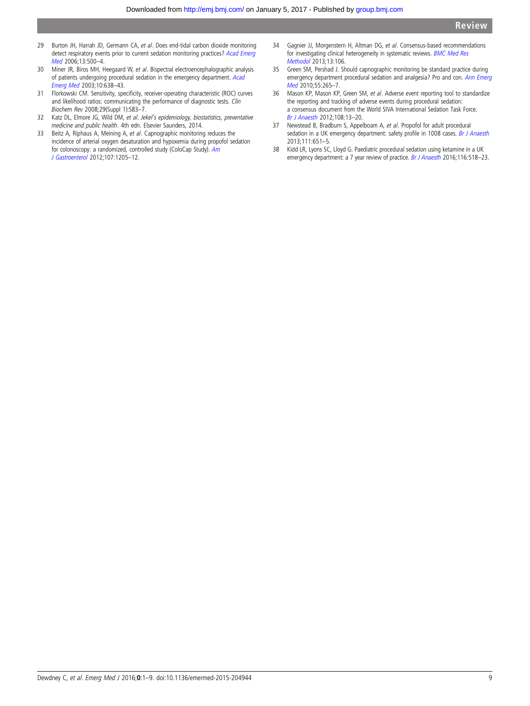- <span id="page-8-0"></span>29 Burton JH, Harrah JD, Germann CA, et al. Does end-tidal carbon dioxide monitoring detect respiratory events prior to current sedation monitoring practices? [Acad Emerg](http://dx.doi.org/10.1111/j.1553-2712.2006.tb00999.x) [Med](http://dx.doi.org/10.1111/j.1553-2712.2006.tb00999.x) 2006;13:500–4.
- 30 Miner JR, Biros MH, Heegaard W, et al. Bispectral electroencephalographic analysis of patients undergoing procedural sedation in the emergency department. [Acad](http://dx.doi.org/10.1111/j.1553-2712.2003.tb00048.x) [Emerg Med](http://dx.doi.org/10.1111/j.1553-2712.2003.tb00048.x) 2003;10:638–43.
- 31 Florkowski CM. Sensitivity, specificity, receiver-operating characteristic (ROC) curves and likelihood ratios: communicating the performance of diagnostic tests. Clin Biochem Rev 2008;29(Suppl 1):S83–7.
- 32 Katz DL, Elmore JG, Wild DM, et al. Jekel's epidemiology, biostatistics, preventative medicine and public health. 4th edn. Elsevier Saunders, 2014.
- 33 Beitz A, Riphaus A, Meining A, et al. Capnographic monitoring reduces the incidence of arterial oxygen desaturation and hypoxemia during propofol sedation for colonoscopy: a randomized, controlled study (ColoCap Study). [Am](http://dx.doi.org/10.1038/ajg.2012.136) [J Gastroenterol](http://dx.doi.org/10.1038/ajg.2012.136) 2012;107:1205–12.
- 34 Gagnier JJ, Morgenstern H, Altman DG, et al. Consensus-based recommendations for investigating clinical heterogeneity in systematic reviews. [BMC Med Res](http://dx.doi.org/10.1186/1471-2288-13-106) [Methodol](http://dx.doi.org/10.1186/1471-2288-13-106) 2013;13:106.
- 35 Green SM, Pershad J. Should capnographic monitoring be standard practice during emergency department procedural sedation and analgesia? Pro and con. [Ann Emerg](http://dx.doi.org/10.1016/j.annemergmed.2009.08.019) [Med](http://dx.doi.org/10.1016/j.annemergmed.2009.08.019) 2010;55:265–7.
- 36 Mason KP, Mason KP, Green SM, et al. Adverse event reporting tool to standardize the reporting and tracking of adverse events during procedural sedation: a consensus document from the World SIVA International Sedation Task Force. [Br J Anaesth](http://dx.doi.org/10.1093/bja/aer407) 2012;108:13–20.
- 37 Newstead B, Bradburn S, Appelboam A, et al. Propofol for adult procedural sedation in a UK emergency department: safety profile in 1008 cases. [Br J Anaesth](http://dx.doi.org/10.1093/bja/aet168) 2013;111:651–5.
- 38 Kidd LR, Lyons SC, Lloyd G. Paediatric procedural sedation using ketamine in a UK emergency department: a 7 year review of practice. [Br J Anaesth](http://dx.doi.org/10.1093/bja/aev555) 2016;116:518-23.